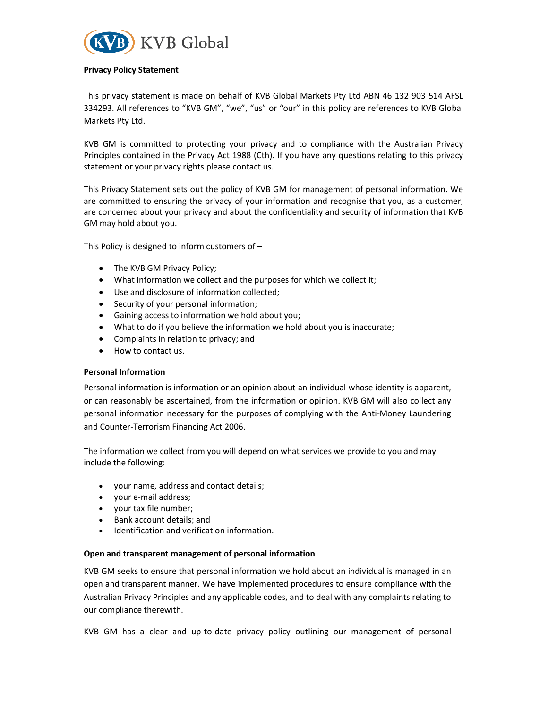

#### Privacy Policy Statement

This privacy statement is made on behalf of KVB Global Markets Pty Ltd ABN 46 132 903 514 AFSL 334293. All references to "KVB GM", "we", "us" or "our" in this policy are references to KVB Global Markets Pty Ltd.

KVB GM is committed to protecting your privacy and to compliance with the Australian Privacy Principles contained in the Privacy Act 1988 (Cth). If you have any questions relating to this privacy statement or your privacy rights please contact us.

This Privacy Statement sets out the policy of KVB GM for management of personal information. We are committed to ensuring the privacy of your information and recognise that you, as a customer, are concerned about your privacy and about the confidentiality and security of information that KVB GM may hold about you.

This Policy is designed to inform customers of –

- The KVB GM Privacy Policy;
- What information we collect and the purposes for which we collect it;
- Use and disclosure of information collected;
- Security of your personal information;
- Gaining access to information we hold about you;
- What to do if you believe the information we hold about you is inaccurate;
- Complaints in relation to privacy; and
- How to contact us.

#### Personal Information

Personal information is information or an opinion about an individual whose identity is apparent, or can reasonably be ascertained, from the information or opinion. KVB GM will also collect any personal information necessary for the purposes of complying with the Anti-Money Laundering and Counter-Terrorism Financing Act 2006.

The information we collect from you will depend on what services we provide to you and may include the following:

- your name, address and contact details;
- your e-mail address;
- your tax file number;
- Bank account details: and
- Identification and verification information.

#### Open and transparent management of personal information

KVB GM seeks to ensure that personal information we hold about an individual is managed in an open and transparent manner. We have implemented procedures to ensure compliance with the Australian Privacy Principles and any applicable codes, and to deal with any complaints relating to our compliance therewith.

KVB GM has a clear and up-to-date privacy policy outlining our management of personal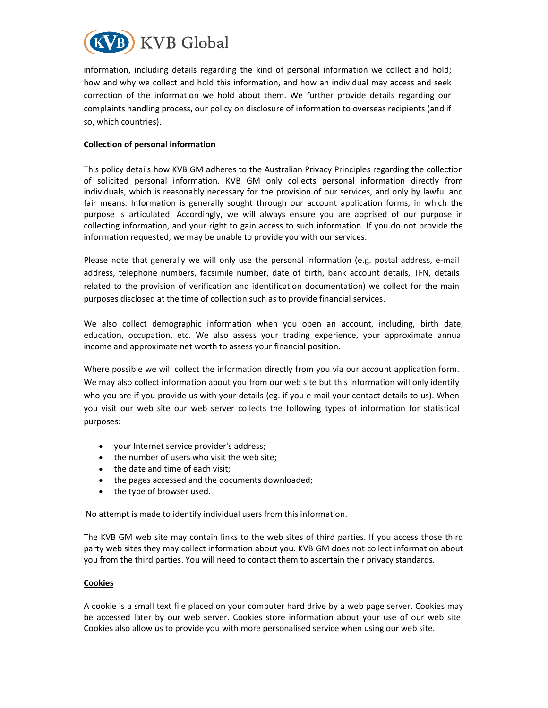

information, including details regarding the kind of personal information we collect and hold; how and why we collect and hold this information, and how an individual may access and seek correction of the information we hold about them. We further provide details regarding our complaints handling process, our policy on disclosure of information to overseas recipients (and if so, which countries).

## Collection of personal information

This policy details how KVB GM adheres to the Australian Privacy Principles regarding the collection of solicited personal information. KVB GM only collects personal information directly from individuals, which is reasonably necessary for the provision of our services, and only by lawful and fair means. Information is generally sought through our account application forms, in which the purpose is articulated. Accordingly, we will always ensure you are apprised of our purpose in collecting information, and your right to gain access to such information. If you do not provide the information requested, we may be unable to provide you with our services.

Please note that generally we will only use the personal information (e.g. postal address, e-mail address, telephone numbers, facsimile number, date of birth, bank account details, TFN, details related to the provision of verification and identification documentation) we collect for the main purposes disclosed at the time of collection such as to provide financial services.

We also collect demographic information when you open an account, including, birth date, education, occupation, etc. We also assess your trading experience, your approximate annual income and approximate net worth to assess your financial position.

Where possible we will collect the information directly from you via our account application form. We may also collect information about you from our web site but this information will only identify who you are if you provide us with your details (eg. if you e-mail your contact details to us). When you visit our web site our web server collects the following types of information for statistical purposes:

- your Internet service provider's address;
- the number of users who visit the web site;
- the date and time of each visit;
- the pages accessed and the documents downloaded;
- the type of browser used.

No attempt is made to identify individual users from this information.

The KVB GM web site may contain links to the web sites of third parties. If you access those third party web sites they may collect information about you. KVB GM does not collect information about you from the third parties. You will need to contact them to ascertain their privacy standards.

#### Cookies

A cookie is a small text file placed on your computer hard drive by a web page server. Cookies may be accessed later by our web server. Cookies store information about your use of our web site. Cookies also allow us to provide you with more personalised service when using our web site.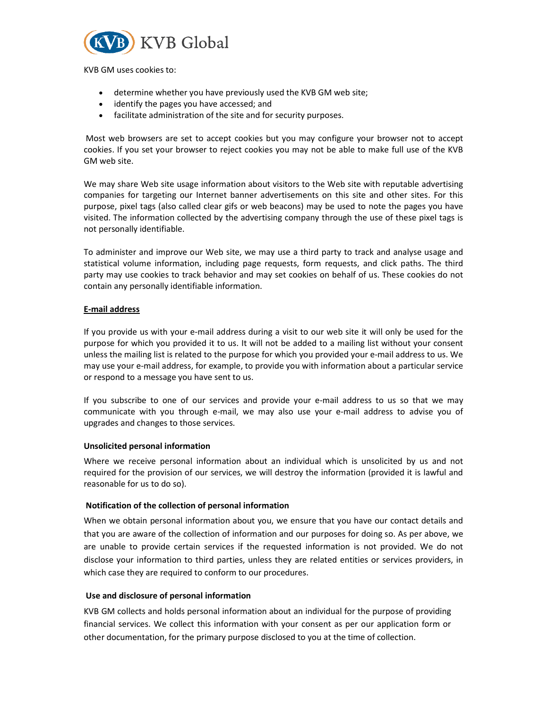

KVB GM uses cookies to:

- determine whether you have previously used the KVB GM web site;
- identify the pages you have accessed; and
- facilitate administration of the site and for security purposes.

 Most web browsers are set to accept cookies but you may configure your browser not to accept cookies. If you set your browser to reject cookies you may not be able to make full use of the KVB GM web site.

We may share Web site usage information about visitors to the Web site with reputable advertising companies for targeting our Internet banner advertisements on this site and other sites. For this purpose, pixel tags (also called clear gifs or web beacons) may be used to note the pages you have visited. The information collected by the advertising company through the use of these pixel tags is not personally identifiable.

To administer and improve our Web site, we may use a third party to track and analyse usage and statistical volume information, including page requests, form requests, and click paths. The third party may use cookies to track behavior and may set cookies on behalf of us. These cookies do not contain any personally identifiable information.

## E-mail address

If you provide us with your e-mail address during a visit to our web site it will only be used for the purpose for which you provided it to us. It will not be added to a mailing list without your consent unless the mailing list is related to the purpose for which you provided your e-mail address to us. We may use your e-mail address, for example, to provide you with information about a particular service or respond to a message you have sent to us.

If you subscribe to one of our services and provide your e-mail address to us so that we may communicate with you through e-mail, we may also use your e-mail address to advise you of upgrades and changes to those services.

#### Unsolicited personal information

Where we receive personal information about an individual which is unsolicited by us and not required for the provision of our services, we will destroy the information (provided it is lawful and reasonable for us to do so).

#### Notification of the collection of personal information

When we obtain personal information about you, we ensure that you have our contact details and that you are aware of the collection of information and our purposes for doing so. As per above, we are unable to provide certain services if the requested information is not provided. We do not disclose your information to third parties, unless they are related entities or services providers, in which case they are required to conform to our procedures.

#### Use and disclosure of personal information

KVB GM collects and holds personal information about an individual for the purpose of providing financial services. We collect this information with your consent as per our application form or other documentation, for the primary purpose disclosed to you at the time of collection.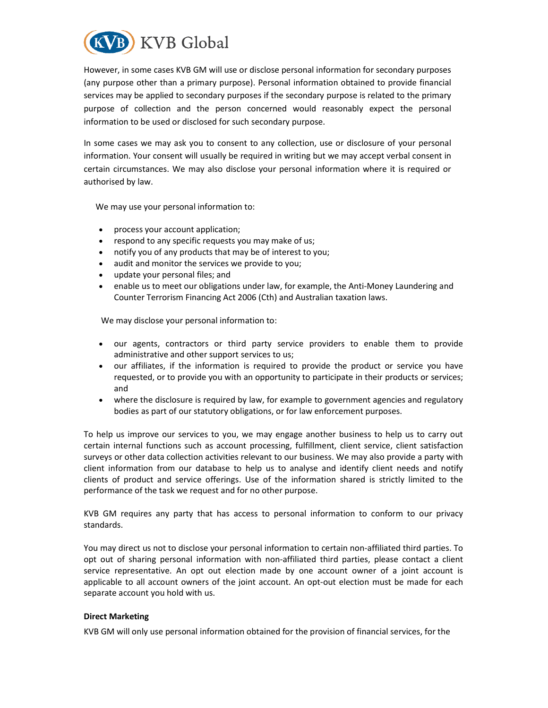

However, in some cases KVB GM will use or disclose personal information for secondary purposes (any purpose other than a primary purpose). Personal information obtained to provide financial services may be applied to secondary purposes if the secondary purpose is related to the primary purpose of collection and the person concerned would reasonably expect the personal information to be used or disclosed for such secondary purpose.

In some cases we may ask you to consent to any collection, use or disclosure of your personal information. Your consent will usually be required in writing but we may accept verbal consent in certain circumstances. We may also disclose your personal information where it is required or authorised by law.

We may use your personal information to:

- process your account application;
- respond to any specific requests you may make of us;
- notify you of any products that may be of interest to you;
- audit and monitor the services we provide to you;
- update your personal files; and
- enable us to meet our obligations under law, for example, the Anti-Money Laundering and Counter Terrorism Financing Act 2006 (Cth) and Australian taxation laws.

We may disclose your personal information to:

- our agents, contractors or third party service providers to enable them to provide administrative and other support services to us;
- our affiliates, if the information is required to provide the product or service you have requested, or to provide you with an opportunity to participate in their products or services; and
- where the disclosure is required by law, for example to government agencies and regulatory bodies as part of our statutory obligations, or for law enforcement purposes.

To help us improve our services to you, we may engage another business to help us to carry out certain internal functions such as account processing, fulfillment, client service, client satisfaction surveys or other data collection activities relevant to our business. We may also provide a party with client information from our database to help us to analyse and identify client needs and notify clients of product and service offerings. Use of the information shared is strictly limited to the performance of the task we request and for no other purpose.

KVB GM requires any party that has access to personal information to conform to our privacy standards.

You may direct us not to disclose your personal information to certain non-affiliated third parties. To opt out of sharing personal information with non-affiliated third parties, please contact a client service representative. An opt out election made by one account owner of a joint account is applicable to all account owners of the joint account. An opt-out election must be made for each separate account you hold with us.

#### Direct Marketing

KVB GM will only use personal information obtained for the provision of financial services, for the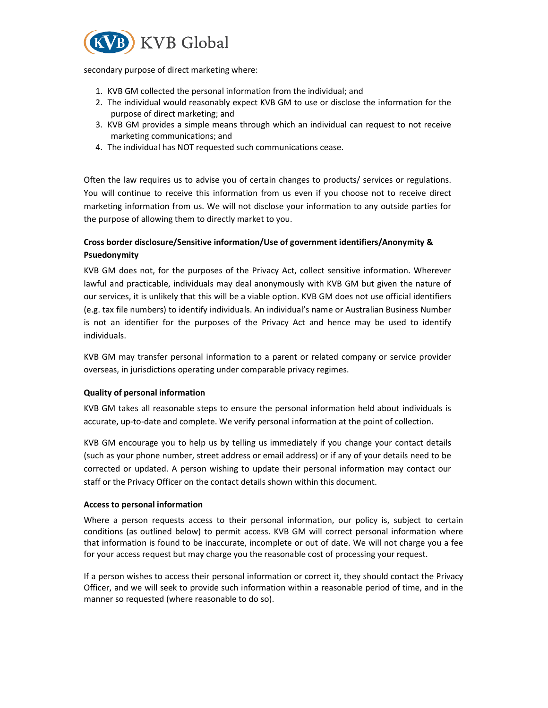

secondary purpose of direct marketing where:

- 1. KVB GM collected the personal information from the individual; and
- 2. The individual would reasonably expect KVB GM to use or disclose the information for the purpose of direct marketing; and
- 3. KVB GM provides a simple means through which an individual can request to not receive marketing communications; and
- 4. The individual has NOT requested such communications cease.

Often the law requires us to advise you of certain changes to products/ services or regulations. You will continue to receive this information from us even if you choose not to receive direct marketing information from us. We will not disclose your information to any outside parties for the purpose of allowing them to directly market to you.

# Cross border disclosure/Sensitive information/Use of government identifiers/Anonymity & Psuedonymity

KVB GM does not, for the purposes of the Privacy Act, collect sensitive information. Wherever lawful and practicable, individuals may deal anonymously with KVB GM but given the nature of our services, it is unlikely that this will be a viable option. KVB GM does not use official identifiers (e.g. tax file numbers) to identify individuals. An individual's name or Australian Business Number is not an identifier for the purposes of the Privacy Act and hence may be used to identify individuals.

KVB GM may transfer personal information to a parent or related company or service provider overseas, in jurisdictions operating under comparable privacy regimes.

## Quality of personal information

KVB GM takes all reasonable steps to ensure the personal information held about individuals is accurate, up-to-date and complete. We verify personal information at the point of collection.

KVB GM encourage you to help us by telling us immediately if you change your contact details (such as your phone number, street address or email address) or if any of your details need to be corrected or updated. A person wishing to update their personal information may contact our staff or the Privacy Officer on the contact details shown within this document.

#### Access to personal information

Where a person requests access to their personal information, our policy is, subject to certain conditions (as outlined below) to permit access. KVB GM will correct personal information where that information is found to be inaccurate, incomplete or out of date. We will not charge you a fee for your access request but may charge you the reasonable cost of processing your request.

If a person wishes to access their personal information or correct it, they should contact the Privacy Officer, and we will seek to provide such information within a reasonable period of time, and in the manner so requested (where reasonable to do so).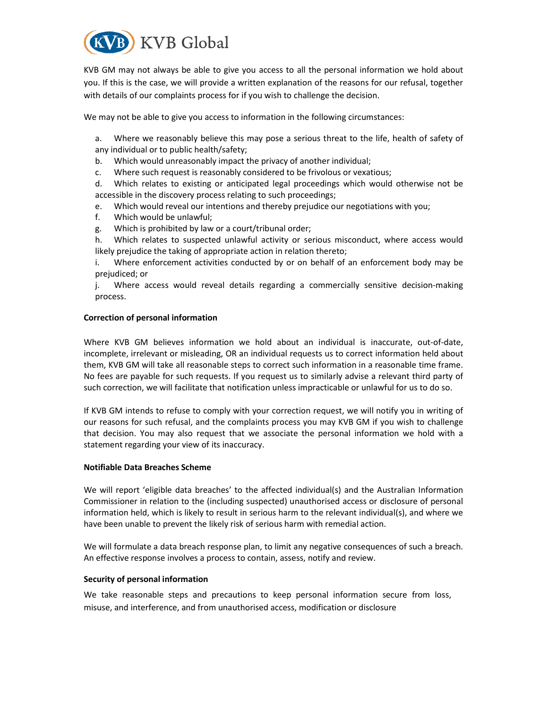

KVB GM may not always be able to give you access to all the personal information we hold about you. If this is the case, we will provide a written explanation of the reasons for our refusal, together with details of our complaints process for if you wish to challenge the decision.

We may not be able to give you access to information in the following circumstances:

a. Where we reasonably believe this may pose a serious threat to the life, health of safety of any individual or to public health/safety;

- b. Which would unreasonably impact the privacy of another individual;
- c. Where such request is reasonably considered to be frivolous or vexatious;

d. Which relates to existing or anticipated legal proceedings which would otherwise not be accessible in the discovery process relating to such proceedings;

- e. Which would reveal our intentions and thereby prejudice our negotiations with you;
- f. Which would be unlawful;
- g. Which is prohibited by law or a court/tribunal order;

h. Which relates to suspected unlawful activity or serious misconduct, where access would likely prejudice the taking of appropriate action in relation thereto;

i. Where enforcement activities conducted by or on behalf of an enforcement body may be prejudiced; or

j. Where access would reveal details regarding a commercially sensitive decision-making process.

#### Correction of personal information

Where KVB GM believes information we hold about an individual is inaccurate, out-of-date, incomplete, irrelevant or misleading, OR an individual requests us to correct information held about them, KVB GM will take all reasonable steps to correct such information in a reasonable time frame. No fees are payable for such requests. If you request us to similarly advise a relevant third party of such correction, we will facilitate that notification unless impracticable or unlawful for us to do so.

If KVB GM intends to refuse to comply with your correction request, we will notify you in writing of our reasons for such refusal, and the complaints process you may KVB GM if you wish to challenge that decision. You may also request that we associate the personal information we hold with a statement regarding your view of its inaccuracy.

#### Notifiable Data Breaches Scheme

We will report 'eligible data breaches' to the affected individual(s) and the Australian Information Commissioner in relation to the (including suspected) unauthorised access or disclosure of personal information held, which is likely to result in serious harm to the relevant individual(s), and where we have been unable to prevent the likely risk of serious harm with remedial action.

We will formulate a data breach response plan, to limit any negative consequences of such a breach. An effective response involves a process to contain, assess, notify and review.

#### Security of personal information

We take reasonable steps and precautions to keep personal information secure from loss, misuse, and interference, and from unauthorised access, modification or disclosure